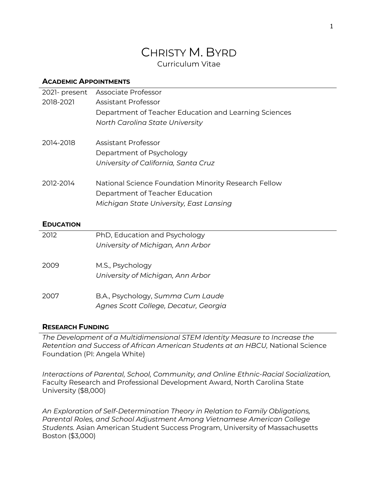# CHRISTY M. BYRD Curriculum Vitae

#### **ACADEMIC APPOINTMENTS**

| 2021- present    | Associate Professor                                                                                                                |
|------------------|------------------------------------------------------------------------------------------------------------------------------------|
| 2018-2021        | Assistant Professor                                                                                                                |
|                  | Department of Teacher Education and Learning Sciences                                                                              |
|                  | North Carolina State University                                                                                                    |
| 2014-2018        | <b>Assistant Professor</b>                                                                                                         |
|                  | Department of Psychology                                                                                                           |
|                  | University of California, Santa Cruz                                                                                               |
| 2012-2014        | National Science Foundation Minority Research Fellow<br>Department of Teacher Education<br>Michigan State University, East Lansing |
| <b>EDUCATION</b> |                                                                                                                                    |
| 2012             | PhD, Education and Psychology                                                                                                      |
|                  | University of Michigan, Ann Arbor                                                                                                  |
| 2009             | M.S., Psychology                                                                                                                   |

*University of Michigan, Ann Arbor*

2007 B.A., Psychology, *Summa Cum Laude Agnes Scott College, Decatur, Georgia*

### **RESEARCH FUNDING**

*The Development of a Multidimensional STEM Identity Measure to Increase the Retention and Success of African American Students at an HBCU,* National Science Foundation (PI: Angela White)

*Interactions of Parental, School, Community, and Online Ethnic-Racial Socialization,*  Faculty Research and Professional Development Award, North Carolina State University (\$8,000)

*An Exploration of Self-Determination Theory in Relation to Family Obligations, Parental Roles, and School Adjustment Among Vietnamese American College Students.* Asian American Student Success Program, University of Massachusetts Boston (\$3,000)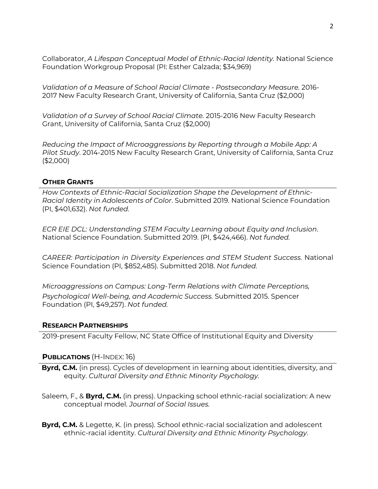Collaborator, *A Lifespan Conceptual Model of Ethnic-Racial Identity.* National Science Foundation Workgroup Proposal (PI: Esther Calzada; \$34,969)

*Validation of a Measure of School Racial Climate - Postsecondary Measure.* 2016- 2017 New Faculty Research Grant, University of California, Santa Cruz (\$2,000)

*Validation of a Survey of School Racial Climate.* 2015-2016 New Faculty Research Grant, University of California, Santa Cruz (\$2,000)

*Reducing the Impact of Microaggressions by Reporting through a Mobile App: A Pilot Study*. 2014-2015 New Faculty Research Grant, University of California, Santa Cruz (\$2,000)

#### **OTHER GRANTS**

*How Contexts of Ethnic-Racial Socialization Shape the Development of Ethnic-Racial Identity in Adolescents of Color*. Submitted 2019. National Science Foundation (PI, \$401,632). *Not funded.*

*ECR EIE DCL: Understanding STEM Faculty Learning about Equity and Inclusion*. National Science Foundation. Submitted 2019. (PI, \$424,466). *Not funded.*

*CAREER: Participation in Diversity Experiences and STEM Student Success.* National Science Foundation (PI, \$852,485). Submitted 2018. *Not funded.*

*Microaggressions on Campus: Long-Term Relations with Climate Perceptions, Psychological Well-being, and Academic Success.* Submitted 2015. Spencer Foundation (PI, \$49,257). *Not funded.*

#### **RESEARCH PARTNERSHIPS**

2019-present Faculty Fellow, NC State Office of Institutional Equity and Diversity

#### **PUBLICATIONS** (H-INDEX: 16)

- **Byrd, C.M.** (in press). Cycles of development in learning about identities, diversity, and equity. *Cultural Diversity and Ethnic Minority Psychology.*
- Saleem, F., & **Byrd, C.M.** (in press). Unpacking school ethnic-racial socialization: A new conceptual model. *Journal of Social Issues.*
- **Byrd, C.M.** & Legette, K. (in press). School ethnic-racial socialization and adolescent ethnic-racial identity. *Cultural Diversity and Ethnic Minority Psychology*.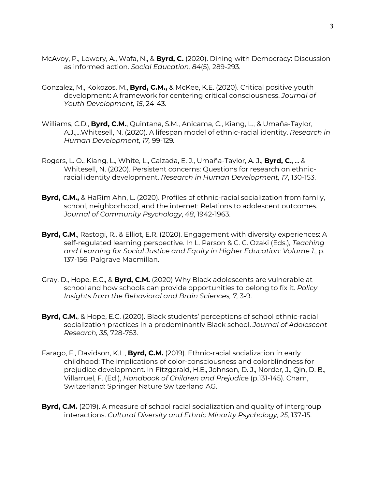- McAvoy, P., Lowery, A., Wafa, N., & **Byrd, C.** (2020). Dining with Democracy: Discussion as informed action. *Social Education, 84*(5), 289-293.
- Gonzalez, M., Kokozos, M., **Byrd, C.M.,** & McKee, K.E. (2020). Critical positive youth development: A framework for centering critical consciousness. *Journal of Youth Development, 15*, 24-43*.*
- Williams, C.D., **Byrd, C.M.**, Quintana, S.M., Anicama, C., Kiang, L., & Umaña-Taylor, A.J.,...Whitesell, N. (2020). A lifespan model of ethnic-racial identity. *Research in Human Development, 17,* 99-129*.*
- Rogers, L. O., Kiang, L., White, L., Calzada, E. J., Umaña-Taylor, A. J., **Byrd, C.**, ... & Whitesell, N. (2020). Persistent concerns: Questions for research on ethnicracial identity development. *Research in Human Development, 17*, 130-153.
- **Byrd, C.M.,** & HaRim Ahn, L. (2020). Profiles of ethnic-racial socialization from family, school, neighborhood, and the internet: Relations to adolescent outcomes*. Journal of Community Psychology*, *48*, 1942-1963.
- **Byrd, C.M**., Rastogi, R., & Elliot, E.R. (2020). Engagement with diversity experiences: A self-regulated learning perspective. In L. Parson & C. C. Ozaki (Eds.)*, Teaching and Learning for Social Justice and Equity in Higher Education: Volume 1.*, p. 137-156. Palgrave Macmillan.
- Gray, D., Hope, E.C., & **Byrd, C.M.** (2020) Why Black adolescents are vulnerable at school and how schools can provide opportunities to belong to fix it. *Policy Insights from the Behavioral and Brain Sciences, 7,* 3-9.
- **Byrd, C.M.**, & Hope, E.C. (2020). Black students' perceptions of school ethnic-racial socialization practices in a predominantly Black school. *Journal of Adolescent Research, 35*, 728-753.
- Farago, F., Davidson, K.L., **Byrd, C.M.** (2019). Ethnic-racial socialization in early childhood: The implications of color-consciousness and colorblindness for prejudice development. In Fitzgerald, H.E., Johnson, D. J., Norder, J., Qin, D. B., Villarruel, F. (Ed.), *Handbook of Children and Prejudice* (p.131-145). Cham, Switzerland: Springer Nature Switzerland AG.
- **Byrd, C.M.** (2019). A measure of school racial socialization and quality of intergroup interactions. *Cultural Diversity and Ethnic Minority Psychology, 25,* 137-15.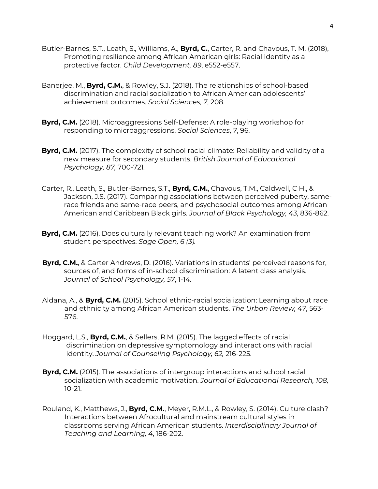- Butler-Barnes, S.T., Leath, S., Williams, A., **Byrd, C.**, Carter, R. and Chavous, T. M. (2018), Promoting resilience among African American girls: Racial identity as a protective factor. *Child Development, 89*, e552-e557.
- Banerjee, M., **Byrd, C.M.**, & Rowley, S.J. (2018). The relationships of school-based discrimination and racial socialization to African American adolescents' achievement outcomes. *Social Sciences, 7*, 208.
- **Byrd, C.M.** (2018). Microaggressions Self-Defense: A role-playing workshop for responding to microaggressions. *Social Sciences*, *7*, 96.
- **Byrd, C.M.** (2017). The complexity of school racial climate: Reliability and validity of a new measure for secondary students. *British Journal of Educational Psychology, 87,* 700-721*.*
- Carter, R., Leath, S., Butler-Barnes, S.T., **Byrd, C.M.**, Chavous, T.M., Caldwell, C H., & Jackson, J.S. (2017). Comparing associations between perceived puberty, samerace friends and same-race peers, and psychosocial outcomes among African American and Caribbean Black girls. *Journal of Black Psychology, 43*, 836-862.
- **Byrd, C.M.** (2016). Does culturally relevant teaching work? An examination from student perspectives. *Sage Open, 6 (3).*
- **Byrd, C.M.**, & Carter Andrews, D. (2016). Variations in students' perceived reasons for, sources of, and forms of in-school discrimination: A latent class analysis. *Journal of School Psychology, 57*, 1-14*.*
- Aldana, A., & **Byrd, C.M.** (2015). School ethnic-racial socialization: Learning about race and ethnicity among African American students. *The Urban Review, 47*, 563- 576.
- Hoggard, L.S., **Byrd, C.M.**, & Sellers, R.M. (2015). The lagged effects of racial discrimination on depressive symptomology and interactions with racial identity. *Journal of Counseling Psychology, 62,* 216-225.
- **Byrd, C.M.** (2015). The associations of intergroup interactions and school racial socialization with academic motivation. *Journal of Educational Research, 108,*  10-21.
- Rouland, K., Matthews, J., **Byrd, C.M.**, Meyer, R.M.L., & Rowley, S. (2014). Culture clash? Interactions between Afrocultural and mainstream cultural styles in classrooms serving African American students. *Interdisciplinary Journal of Teaching and Learning, 4*, 186-202.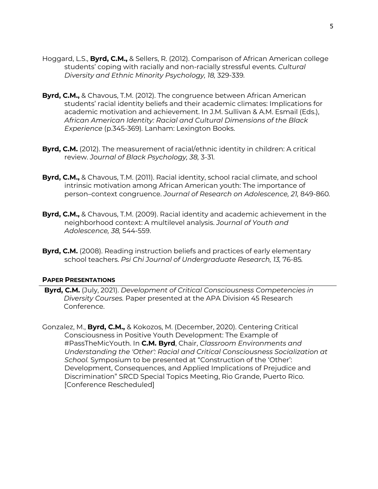- Hoggard, L.S., **Byrd, C.M.,** & Sellers, R. (2012). Comparison of African American college students' coping with racially and non-racially stressful events. *Cultural Diversity and Ethnic Minority Psychology, 18,* 329-339*.*
- **Byrd, C.M.,** & Chavous, T.M. (2012). The congruence between African American students' racial identity beliefs and their academic climates: Implications for academic motivation and achievement. In J.M. Sullivan & A.M. Esmail (Eds.), *African American Identity: Racial and Cultural Dimensions of the Black Experience* (p.345-369)*.* Lanham: Lexington Books.
- **Byrd, C.M.** (2012). The measurement of racial/ethnic identity in children: A critical review. *Journal of Black Psychology, 38,* 3-31*.*
- **Byrd, C.M.,** & Chavous, T.M. (2011). Racial identity, school racial climate, and school intrinsic motivation among African American youth: The importance of person–context congruence. *Journal of Research on Adolescence, 21,* 849-860*.*
- **Byrd, C.M.,** & Chavous, T.M. (2009). Racial identity and academic achievement in the neighborhood context: A multilevel analysis. *Journal of Youth and Adolescence, 38,* 544-559.
- **Byrd, C.M.** (2008). Reading instruction beliefs and practices of early elementary school teachers. *Psi Chi Journal of Undergraduate Research, 13,* 76-85*.*

#### **PAPER PRESENTATIONS**

- **Byrd, C.M.** (July, 2021). *Development of Critical Consciousness Competencies in Diversity Courses.* Paper presented at the APA Division 45 Research Conference.
- Gonzalez, M., **Byrd, C.M.,** & Kokozos, M. (December, 2020). Centering Critical Consciousness in Positive Youth Development: The Example of #PassTheMicYouth. In **C.M. Byrd**, Chair, *Classroom Environments and Understanding the 'Other': Racial and Critical Consciousness Socialization at School.* Symposium to be presented at "Construction of the 'Other': Development, Consequences, and Applied Implications of Prejudice and Discrimination" SRCD Special Topics Meeting, Rio Grande, Puerto Rico. [Conference Rescheduled]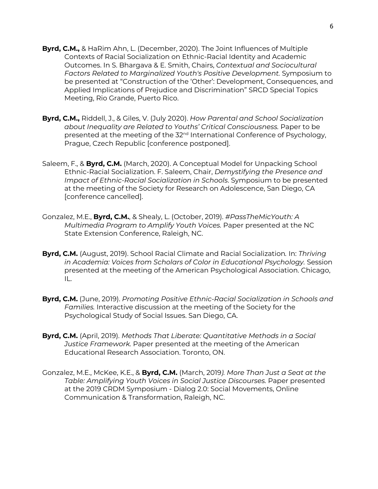- **Byrd, C.M.,** & HaRim Ahn, L. (December, 2020). The Joint Influences of Multiple Contexts of Racial Socialization on Ethnic-Racial Identity and Academic Outcomes. In S. Bhargava & E. Smith, Chairs, *Contextual and Sociocultural Factors Related to Marginalized Youth's Positive Development.* Symposium to be presented at "Construction of the 'Other': Development, Consequences, and Applied Implications of Prejudice and Discrimination" SRCD Special Topics Meeting, Rio Grande, Puerto Rico.
- **Byrd, C.M.,** Riddell, J., & Giles, V. (July 2020). *How Parental and School Socialization about Inequality are Related to Youths' Critical Consciousness.* Paper to be presented at the meeting of the 32<sup>nd</sup> International Conference of Psychology, Prague, Czech Republic [conference postponed].
- Saleem, F., & **Byrd, C.M.** (March, 2020). A Conceptual Model for Unpacking School Ethnic-Racial Socialization. F. Saleem, Chair, *Demystifying the Presence and Impact of Ethnic-Racial Socialization in Schools*. Symposium to be presented at the meeting of the Society for Research on Adolescence, San Diego, CA [conference cancelled].
- Gonzalez, M.E., **Byrd, C.M.**, & Shealy, L. (October, 2019). *#PassTheMicYouth: A Multimedia Program to Amplify Youth Voices.* Paper presented at the NC State Extension Conference, Raleigh, NC.
- **Byrd, C.M.** (August, 2019). School Racial Climate and Racial Socialization*.* In: *Thriving in Academia: Voices from Scholars of Color in Educational Psychology.* Session presented at the meeting of the American Psychological Association. Chicago, IL.
- **Byrd, C.M.** (June, 2019). *Promoting Positive Ethnic-Racial Socialization in Schools and Families.* Interactive discussion at the meeting of the Society for the Psychological Study of Social Issues. San Diego, CA.
- **Byrd, C.M.** (April, 2019). *Methods That Liberate: Quantitative Methods in a Social Justice Framework.* Paper presented at the meeting of the American Educational Research Association. Toronto, ON.
- Gonzalez, M.E., McKee, K.E., & **Byrd, C.M.** (March, 2019*). More Than Just a Seat at the Table: Amplifying Youth Voices in Social Justice Discourses.* Paper presented at the 2019 CRDM Symposium - Dialog 2.0: Social Movements, Online Communication & Transformation, Raleigh, NC.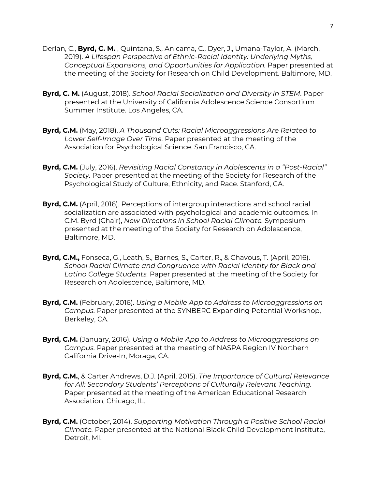- Derlan, C., **Byrd, C. M.** , Quintana, S., Anicama, C., Dyer, J., Umana-Taylor, A. (March, 2019). *A Lifespan Perspective of Ethnic-Racial Identity: Underlying Myths, Conceptual Expansions, and Opportunities for Application.* Paper presented at the meeting of the Society for Research on Child Development. Baltimore, MD.
- **Byrd, C. M.** (August, 2018). *School Racial Socialization and Diversity in STEM*. Paper presented at the University of California Adolescence Science Consortium Summer Institute. Los Angeles, CA.
- **Byrd, C.M.** (May, 2018). *A Thousand Cuts: Racial Microaggressions Are Related to Lower Self-Image Over Time.* Paper presented at the meeting of the Association for Psychological Science. San Francisco, CA.
- **Byrd, C.M.** (July, 2016). *Revisiting Racial Constancy in Adolescents in a "Post-Racial" Society.* Paper presented at the meeting of the Society for Research of the Psychological Study of Culture, Ethnicity, and Race. Stanford, CA.
- **Byrd, C.M.** (April, 2016). Perceptions of intergroup interactions and school racial socialization are associated with psychological and academic outcomes. In C.M. Byrd (Chair), *New Directions in School Racial Climate.* Symposium presented at the meeting of the Society for Research on Adolescence, Baltimore, MD.
- **Byrd, C.M.,** Fonseca, G., Leath, S., Barnes, S., Carter, R., & Chavous, T. (April, 2016). *School Racial Climate and Congruence with Racial Identity for Black and Latino College Students.* Paper presented at the meeting of the Society for Research on Adolescence, Baltimore, MD.
- **Byrd, C.M.** (February, 2016). *Using a Mobile App to Address to Microaggressions on Campus.* Paper presented at the SYNBERC Expanding Potential Workshop, Berkeley, CA.
- **Byrd, C.M.** (January, 2016). *Using a Mobile App to Address to Microaggressions on Campus.* Paper presented at the meeting of NASPA Region IV Northern California Drive-In, Moraga, CA.
- **Byrd, C.M.**, & Carter Andrews, D.J. (April, 2015). *The Importance of Cultural Relevance for All: Secondary Students' Perceptions of Culturally Relevant Teaching.*  Paper presented at the meeting of the American Educational Research Association, Chicago, IL.
- **Byrd, C.M.** (October, 2014). *Supporting Motivation Through a Positive School Racial Climate.* Paper presented at the National Black Child Development Institute, Detroit, MI.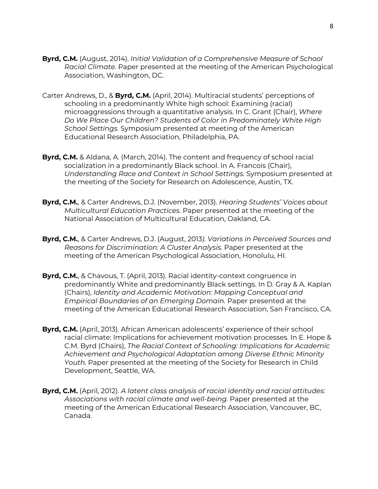- **Byrd, C.M.** (August, 2014). *Initial Validation of a Comprehensive Measure of School Racial Climate*. Paper presented at the meeting of the American Psychological Association, Washington, DC.
- Carter Andrews, D., & **Byrd, C.M.** (April, 2014). Multiracial students' perceptions of schooling in a predominantly White high school: Examining (racial) microaggressions through a quantitative analysis. In C. Grant (Chair), *Where Do We Place Our Children? Students of Color in Predominately White High School Settings.* Symposium presented at meeting of the American Educational Research Association, Philadelphia, PA.
- **Byrd, C.M.** & Aldana, A. (March, 2014). The content and frequency of school racial socialization in a predominantly Black school. In A. Francois (Chair), *Understanding Race and Context in School Settings.* Symposium presented at the meeting of the Society for Research on Adolescence, Austin, TX.
- **Byrd, C.M.**, & Carter Andrews, D.J. (November, 2013). *Hearing Students' Voices about Multicultural Education Practices.* Paper presented at the meeting of the National Association of Multicultural Education, Oakland, CA.
- **Byrd, C.M.**, & Carter Andrews, D.J. (August, 2013*). Variations in Perceived Sources and Reasons for Discrimination: A Cluster Analysis.* Paper presented at the meeting of the American Psychological Association, Honolulu, HI.
- **Byrd, C.M.**, & Chavous, T. (April, 2013). Racial identity-context congruence in predominantly White and predominantly Black settings. In D. Gray & A. Kaplan (Chairs), *Identity and Academic Motivation: Mapping Conceptual and Empirical Boundaries of an Emerging Domain.* Paper presented at the meeting of the American Educational Research Association, San Francisco, CA.
- **Byrd, C.M.** (April, 2013). African American adolescents' experience of their school racial climate: Implications for achievement motivation processes. In E. Hope & C.M. Byrd (Chairs), *The Racial Context of Schooling: Implications for Academic Achievement and Psychological Adaptation among Diverse Ethnic Minority Youth.* Paper presented at the meeting of the Society for Research in Child Development, Seattle, WA.
- **Byrd, C.M.** (April, 2012). *A latent class analysis of racial identity and racial attitudes: Associations with racial climate and well-being.* Paper presented at the meeting of the American Educational Research Association, Vancouver, BC, Canada.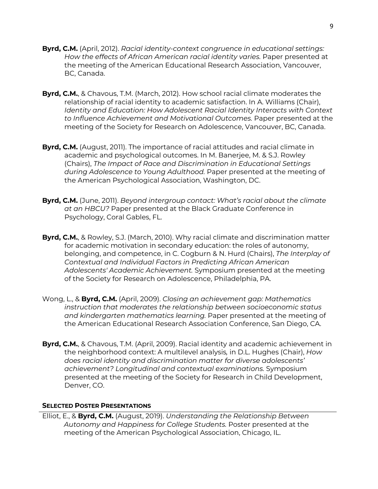- **Byrd, C.M.** (April, 2012). *Racial identity-context congruence in educational settings: How the effects of African American racial identity varies.* Paper presented at the meeting of the American Educational Research Association, Vancouver, BC, Canada.
- **Byrd, C.M.**, & Chavous, T.M. (March, 2012). How school racial climate moderates the relationship of racial identity to academic satisfaction. In A. Williams (Chair), *Identity and Education: How Adolescent Racial Identity Interacts with Context to Influence Achievement and Motivational Outcomes.* Paper presented at the meeting of the Society for Research on Adolescence, Vancouver, BC, Canada.
- **Byrd, C.M.** (August, 2011). The importance of racial attitudes and racial climate in academic and psychological outcomes. In M. Banerjee, M. & S.J. Rowley (Chairs), *The Impact of Race and Discrimination in Educational Settings during Adolescence to Young Adulthood.* Paper presented at the meeting of the American Psychological Association, Washington, DC.
- **Byrd, C.M.** (June, 2011). *Beyond intergroup contact: What's racial about the climate at an HBCU?* Paper presented at the Black Graduate Conference in Psychology, Coral Gables, FL.
- **Byrd, C.M.**, & Rowley, S.J. (March, 2010). Why racial climate and discrimination matter for academic motivation in secondary education: the roles of autonomy, belonging, and competence, in C. Cogburn & N. Hurd (Chairs), *The Interplay of Contextual and Individual Factors in Predicting African American Adolescents' Academic Achievement.* Symposium presented at the meeting of the Society for Research on Adolescence, Philadelphia, PA.
- Wong, L., & **Byrd, C.M.** (April, 2009). *Closing an achievement gap: Mathematics instruction that moderates the relationship between socioeconomic status and kindergarten mathematics learning.* Paper presented at the meeting of the American Educational Research Association Conference, San Diego, CA.
- **Byrd, C.M.**, & Chavous, T.M. (April, 2009). Racial identity and academic achievement in the neighborhood context: A multilevel analysis*,* in D.L. Hughes (Chair), *How does racial identity and discrimination matter for diverse adolescents' achievement? Longitudinal and contextual examinations.* Symposium presented at the meeting of the Society for Research in Child Development, Denver, CO.

### **SELECTED POSTER PRESENTATIONS**

Elliot, E., & **Byrd, C.M.** (August, 2019). *Understanding the Relationship Between Autonomy and Happiness for College Students.* Poster presented at the meeting of the American Psychological Association, Chicago, IL.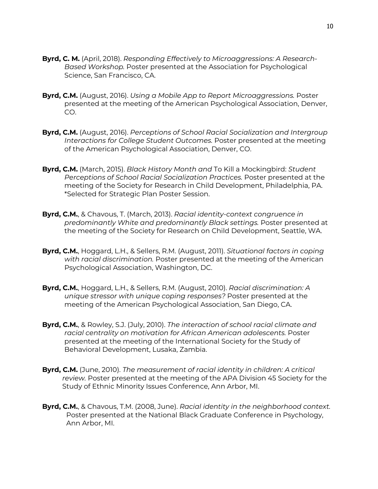- **Byrd, C. M.** (April, 2018). *Responding Effectively to Microaggressions: A Research-Based Workshop.* Poster presented at the Association for Psychological Science, San Francisco, CA.
- **Byrd, C.M.** (August, 2016). *Using a Mobile App to Report Microaggressions.* Poster presented at the meeting of the American Psychological Association, Denver, CO.
- **Byrd, C.M.** (August, 2016). *Perceptions of School Racial Socialization and Intergroup Interactions for College Student Outcomes.* Poster presented at the meeting of the American Psychological Association, Denver, CO.
- **Byrd, C.M.** (March, 2015). *Black History Month and* To Kill a Mockingbird: *Student Perceptions of School Racial Socialization Practices.* Poster presented at the meeting of the Society for Research in Child Development, Philadelphia, PA. \*Selected for Strategic Plan Poster Session.
- **Byrd, C.M.**, & Chavous, T. (March, 2013). *Racial identity-context congruence in predominantly White and predominantly Black settings.* Poster presented at the meeting of the Society for Research on Child Development, Seattle, WA.
- **Byrd, C.M.**, Hoggard, L.H., & Sellers, R.M. (August, 2011). *Situational factors in coping with racial discrimination.* Poster presented at the meeting of the American Psychological Association, Washington, DC.
- **Byrd, C.M.**, Hoggard, L.H., & Sellers, R.M. (August, 2010). *Racial discrimination: A unique stressor with unique coping responses?* Poster presented at the meeting of the American Psychological Association, San Diego, CA.
- **Byrd, C.M.**, & Rowley, S.J. (July, 2010). *The interaction of school racial climate and racial centrality on motivation for African American adolescents.* Poster presented at the meeting of the International Society for the Study of Behavioral Development, Lusaka, Zambia.
- **Byrd, C.M.** (June, 2010). *The measurement of racial identity in children: A critical review.* Poster presented at the meeting of the APA Division 45 Society for the Study of Ethnic Minority Issues Conference, Ann Arbor, MI.
- **Byrd, C.M.**, & Chavous, T.M. (2008, June). *Racial identity in the neighborhood context.* Poster presented at the National Black Graduate Conference in Psychology, Ann Arbor, MI.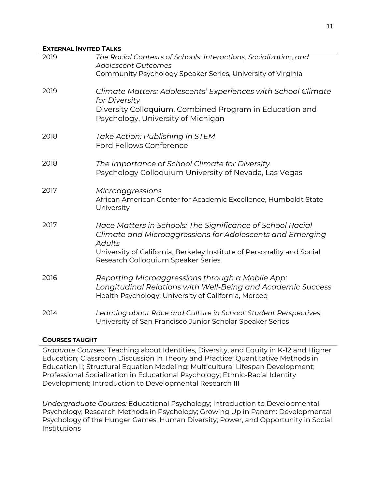#### **EXTERNAL INVITED TALKS**

| 2019 | The Racial Contexts of Schools: Interactions, Socialization, and<br><b>Adolescent Outcomes</b><br>Community Psychology Speaker Series, University of Virginia                                                                                            |
|------|----------------------------------------------------------------------------------------------------------------------------------------------------------------------------------------------------------------------------------------------------------|
| 2019 | Climate Matters: Adolescents' Experiences with School Climate<br>for Diversity<br>Diversity Colloquium, Combined Program in Education and<br>Psychology, University of Michigan                                                                          |
| 2018 | Take Action: Publishing in STEM<br><b>Ford Fellows Conference</b>                                                                                                                                                                                        |
| 2018 | The Importance of School Climate for Diversity<br>Psychology Colloguium University of Nevada, Las Vegas                                                                                                                                                  |
| 2017 | Microaggressions<br>African American Center for Academic Excellence, Humboldt State<br>University                                                                                                                                                        |
| 2017 | Race Matters in Schools: The Significance of School Racial<br>Climate and Microaggressions for Adolescents and Emerging<br><b>Adults</b><br>University of California, Berkeley Institute of Personality and Social<br>Research Colloquium Speaker Series |
| 2016 | Reporting Microaggressions through a Mobile App:<br>Longitudinal Relations with Well-Being and Academic Success<br>Health Psychology, University of California, Merced                                                                                   |
| 2014 | Learning about Race and Culture in School: Student Perspectives,<br>University of San Francisco Junior Scholar Speaker Series                                                                                                                            |

### **COURSES TAUGHT**

*Graduate Courses:* Teaching about Identities, Diversity, and Equity in K-12 and Higher Education; Classroom Discussion in Theory and Practice; Quantitative Methods in Education II; Structural Equation Modeling; Multicultural Lifespan Development; Professional Socialization in Educational Psychology; Ethnic-Racial Identity Development; Introduction to Developmental Research III

*Undergraduate Courses:* Educational Psychology; Introduction to Developmental Psychology; Research Methods in Psychology; Growing Up in Panem: Developmental Psychology of the Hunger Games; Human Diversity, Power, and Opportunity in Social Institutions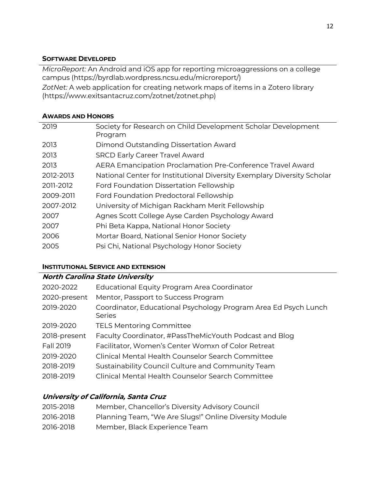### **SOFTWARE DEVELOPED**

*MicroReport:* An Android and iOS app for reporting microaggressions on a college campus (https://byrdlab.wordpress.ncsu.edu/microreport/)

*ZotNet:* A web application for creating network maps of items in a Zotero library (https://www.exitsantacruz.com/zotnet/zotnet.php)

### **AWARDS AND HONORS**

| 2019      | Society for Research on Child Development Scholar Development           |
|-----------|-------------------------------------------------------------------------|
|           | Program                                                                 |
| 2013      | Dimond Outstanding Dissertation Award                                   |
| 2013      | <b>SRCD Early Career Travel Award</b>                                   |
| 2013      | AERA Emancipation Proclamation Pre-Conference Travel Award              |
| 2012-2013 | National Center for Institutional Diversity Exemplary Diversity Scholar |
| 2011-2012 | <b>Ford Foundation Dissertation Fellowship</b>                          |
| 2009-2011 | Ford Foundation Predoctoral Fellowship                                  |
| 2007-2012 | University of Michigan Rackham Merit Fellowship                         |
| 2007      | Agnes Scott College Ayse Carden Psychology Award                        |
| 2007      | Phi Beta Kappa, National Honor Society                                  |
| 2006      | Mortar Board, National Senior Honor Society                             |
| 2005      | Psi Chi, National Psychology Honor Society                              |
|           |                                                                         |

# **INSTITUTIONAL SERVICE AND EXTENSION**

# **North Carolina State University**

| 2020-2022    | Educational Equity Program Area Coordinator                                      |
|--------------|----------------------------------------------------------------------------------|
| 2020-present | Mentor, Passport to Success Program                                              |
| 2019-2020    | Coordinator, Educational Psychology Program Area Ed Psych Lunch<br><b>Series</b> |
| 2019-2020    | <b>TELS Mentoring Committee</b>                                                  |
| 2018-present | Faculty Coordinator, #PassTheMicYouth Podcast and Blog                           |
| Fall 2019    | Facilitator, Women's Center Womxn of Color Retreat                               |
| 2019-2020    | Clinical Mental Health Counselor Search Committee                                |
| 2018-2019    | Sustainability Council Culture and Community Team                                |
| 2018-2019    | Clinical Mental Health Counselor Search Committee                                |
|              |                                                                                  |

# **University of California, Santa Cruz**

| 2015-2018 | Member, Chancellor's Diversity Advisory Council        |
|-----------|--------------------------------------------------------|
| 2016-2018 | Planning Team, "We Are Slugs!" Online Diversity Module |
| 2016-2018 | Member, Black Experience Team                          |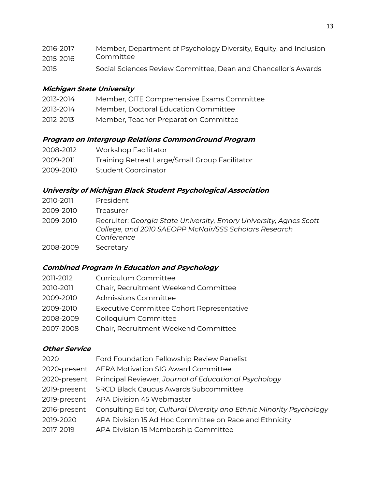| 2016-2017 | Member, Department of Psychology Diversity, Equity, and Inclusion |
|-----------|-------------------------------------------------------------------|
| 2015-2016 | Committee                                                         |
| 2015      | Social Sciences Review Committee, Dean and Chancellor's Awards    |

# **Michigan State University**

| 2013-2014 | Member, CITE Comprehensive Exams Committee |
|-----------|--------------------------------------------|
|-----------|--------------------------------------------|

- 2013-2014 Member, Doctoral Education Committee
- 2012-2013 Member, Teacher Preparation Committee

### **Program on Intergroup Relations CommonGround Program**

| 2008-2012 | Workshop Facilitator                           |
|-----------|------------------------------------------------|
| 2009-2011 | Training Retreat Large/Small Group Facilitator |
| 2009-2010 | Student Coordinator                            |

# **University of Michigan Black Student Psychological Association**

| 2010-2011 | President                                                                                                                                 |
|-----------|-------------------------------------------------------------------------------------------------------------------------------------------|
| 2009-2010 | Treasurer                                                                                                                                 |
| 2009-2010 | Recruiter: Georgia State University, Emory University, Agnes Scott<br>College, and 2010 SAEOPP McNair/SSS Scholars Research<br>Conference |
| 2008-2009 | Secretary                                                                                                                                 |

# **Combined Program in Education and Psychology**

| 2011-2012 | Curriculum Committee                      |
|-----------|-------------------------------------------|
| 2010-2011 | Chair, Recruitment Weekend Committee      |
| 2009-2010 | Admissions Committee                      |
| 2009-2010 | Executive Committee Cohort Representative |
| 2008-2009 | Colloquium Committee                      |
| 2007-2008 | Chair, Recruitment Weekend Committee      |

### **Other Service**

| Ford Foundation Fellowship Review Panelist                           |
|----------------------------------------------------------------------|
| 2020-present AERA Motivation SIG Award Committee                     |
| 2020-present Principal Reviewer, Journal of Educational Psychology   |
| 2019-present SRCD Black Caucus Awards Subcommittee                   |
| 2019-present APA Division 45 Webmaster                               |
| Consulting Editor, Cultural Diversity and Ethnic Minority Psychology |
| APA Division 15 Ad Hoc Committee on Race and Ethnicity               |
| APA Division 15 Membership Committee                                 |
|                                                                      |